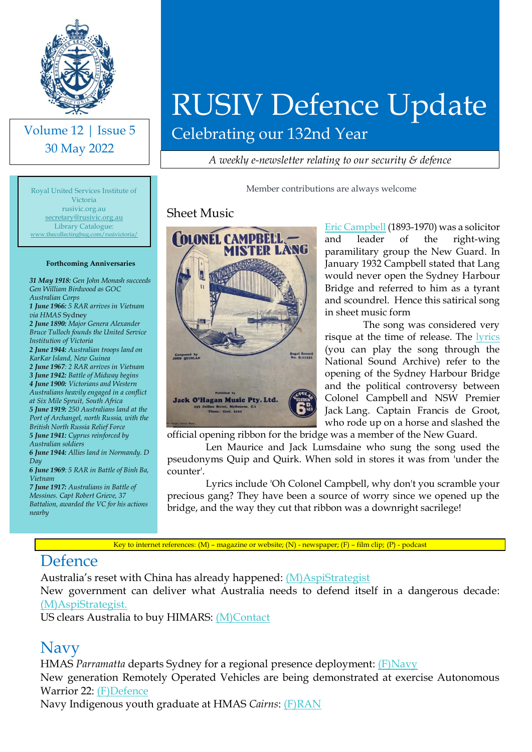

Volume 12 | Issue 5 30 May 2022

# RUSIV Defence Update

Celebrating our 132nd Year

*A weekly e-newsletter relating to our security & defence*

Member contributions are always welcome

#### Sheet Music



[Eric Campbell](https://adb.anu.edu.au/biography/campbell-eric-5487) (1893-1970) was a solicitor and leader of the right-wing paramilitary group the New Guard. In January 1932 Campbell stated that Lang would never open the Sydney Harbour Bridge and referred to him as a tyrant and scoundrel. Hence this satirical song in sheet music form

The song was considered very risque at the time of release. The [lyrics](https://www.nfsa.gov.au/collection/curated/colonel-campbell-and-mister-lang) (you can play the song through the National Sound Archive) refer to the opening of the Sydney Harbour Bridge and the political controversy between Colonel Campbell and NSW Premier Jack Lang. Captain Francis de Groot, who rode up on a horse and slashed the

official opening ribbon for the bridge was a member of the New Guard.

Len Maurice and Jack Lumsdaine who sung the song used the pseudonyms Quip and Quirk. When sold in stores it was from 'under the counter'.

Lyrics include 'Oh Colonel Campbell, why don't you scramble your precious gang? They have been a source of worry since we opened up the bridge, and the way they cut that ribbon was a downright sacrilege!

Key to internet references: (M) – magazine or website; (N) - newspaper; (F) – film clip; (P) - podcast

#### **Defence**

Australia's reset with China has already happened: [\(M\)AspiStrategist](https://www.aspistrategist.org.au/australias-reset-with-china-has-already-happened/?utm_medium=email&utm_campaign=Daily%20The%20Strategist&utm_content=Daily%20The%20Strategist+CID_b7ec8f84cbafc4db8d046cbf5ce27dd9&utm_source=CampaignMonitor&utm_term=Australias%20reset%20with%20China%20has%20already%20happened)

New government can deliver what Australia needs to defend itself in a dangerous decade: [\(M\)AspiStrategist.](https://www.aspistrategist.org.au/new-government-can-deliver-what-australia-needs-to-defend-itself-in-a-dangerous-decade/?utm_medium=email&utm_campaign=Daily%20The%20Strategist&utm_content=Daily%20The%20Strategist+CID_1b2238eff4c0bc86ddf2178bcbe27958&utm_source=CampaignMonitor&utm_term=New%20government%20can%20deliver%20what%20Australia%20needs%20to%20defend%20itself%20in%20a%20dangerous%20decade)

US clears Australia to buy HIMARS: [\(M\)Contact](https://www.contactairlandandsea.com/2022/05/27/us-clears-adf-to-buy-himars/)

#### Navy

HMAS *Parramatta* departs Sydney for a regional presence deployment: [\(F\)Navy](https://www.youtube.com/watch?v=_OI4HHjlbHE) New generation Remotely Operated Vehicles are being demonstrated at exercise Autonomous Warrior 22: [\(F\)Defence](https://www.youtube.com/watch?v=iDbAIV0G_ik)

Navy Indigenous youth graduate at HMAS *Cairns*: [\(F\)RAN](https://www.youtube.com/watch?v=IQqFlLre2BM)

Royal United Services Institute of Victoria rusivic.org.au [secretary@rusivic.org.au](mailto:secretary@rusivic.org.au) Library Catalogue: [www.thecollectingbug.com/rusivictoria/](http://www.thecollectingbug.com/rusivictoria/)

#### **Forthcoming Anniversaries**

*31 May 1918: Gen John Monash succeeds Gen William Birdwood as GOC Australian Corps 1 June 1966: 5 RAR arrives in Vietnam via HMAS* Sydney *2 June 1890: Major Genera Alexander Bruce Tulloch founds the United Service Institution of Victoria 2 June 1944: Australian troops land on KarKar Island, New Guinea 2 June 1967: 2 RAR arrives in Vietnam 3 June 1942: Battle of Midway begins 4 June 1900: Victorians and Western Australians heavily engaged in a conflict at Six Mile Spruit, South Africa 5 June 1919: 250 Australians land at the Port of Archangel, north Russia, with the British North Russia Relief Force 5 June 1941: Cyprus reinforced by Australian soldiers 6 June 1944: Allies land in Normandy. D Day 6 June 1969: 5 RAR in Battle of Binh Ba, Vietnam 7 June 1917: Australians in Battle of Messines. Capt Robert Grieve, 37 Battalion, awarded the VC for his actions nearby*